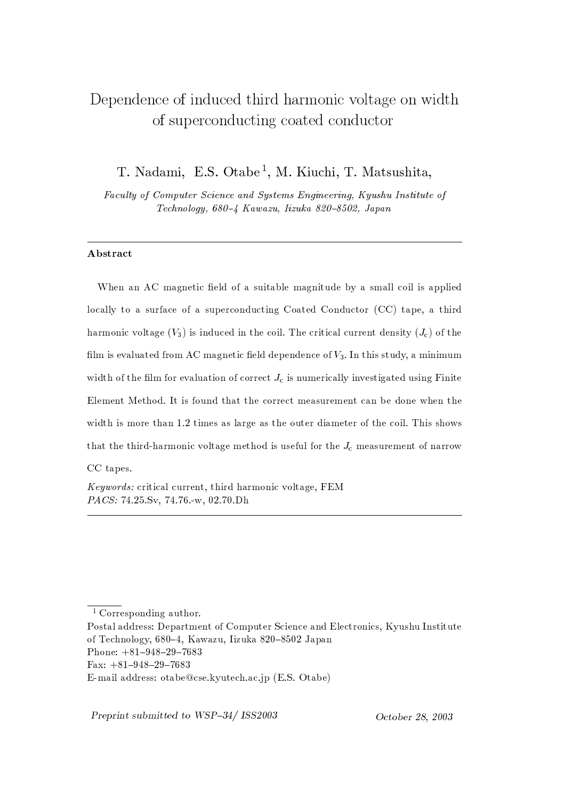# Dependence of induced third harmonic voltage on width of superconducting coated conductor

T. Nadami, E.S. Otabe<sup>1</sup>, M. Kiuchi, T. Matsushita,

Faculty of Computer Science and Systems Engineering, Kyushu Institute of Technology, 680-4 Kawazu, Iizuka 820-8502, Japan

## Abstract

When an AC magnetic field of a suitable magnitude by a small coil is applied locally to a surface of a superconducting Coated Conductor (CC) tape, a third harmonic voltage  $(V_3)$  is induced in the coil. The critical current density  $(J_c)$  of the film is evaluated from AC magnetic field dependence of  $V_3$ . In this study, a minimum width of the film for evaluation of correct  $J_c$  is numerically investigated using Finite Element Method. It is found that the correct measurement can be done when the width is more than 1.2 times as large as the outer diameter of the coil. This shows that the third-harmonic voltage method is useful for the  $J_c$  measurement of narrow CC tapes.

Keywords: critical current, third harmonic voltage, FEM PACS: 74.25.Sv, 74.76.-w, 02.70.Dh

Preprint submitted to WSP-34/ ISS2003

<sup>&</sup>lt;sup>1</sup> Corresponding author.

Postal address: Department of Computer Science and Electronics, Kyushu Institute of Technology, 680–4, Kawazu, Iizuka 820–8502 Japan

Phone:  $+81-948-29-7683$ 

Fax:  $+81-948-29-7683$ 

E-mail address: otabe@cse.kyutech.ac.jp (E.S. Otabe)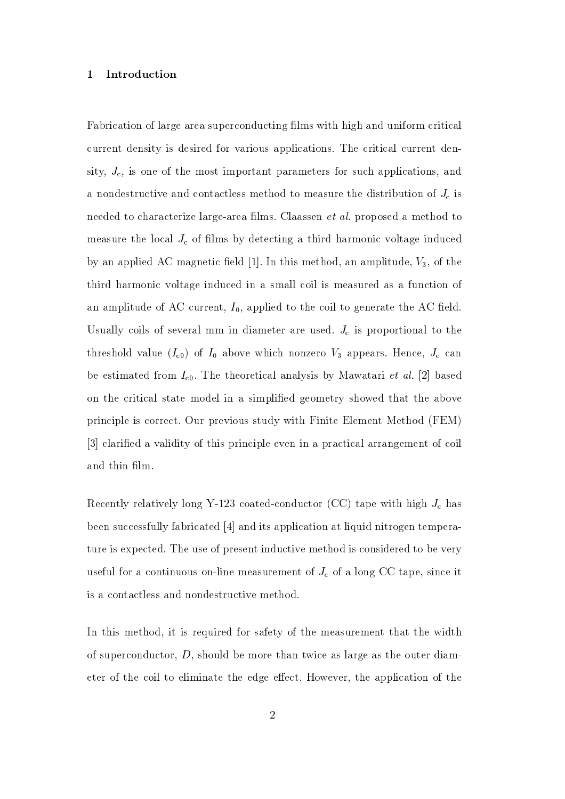#### Introduction  $\mathbf{1}$

Fabrication of large area superconducting films with high and uniform critical current density is desired for various applications. The critical current density,  $J_c$ , is one of the most important parameters for such applications, and a nondestructive and contactless method to measure the distribution of  $J_c$  is needed to characterize large-area films. Claassen *et al.* proposed a method to measure the local  $J_c$  of films by detecting a third harmonic voltage induced by an applied AC magnetic field [1]. In this method, an amplitude,  $V_3$ , of the third harmonic voltage induced in a small coil is measured as a function of an amplitude of AC current,  $I_0$ , applied to the coil to generate the AC field. Usually coils of several mm in diameter are used.  $J_c$  is proportional to the threshold value  $(I_{c0})$  of  $I_0$  above which nonzero  $V_3$  appears. Hence,  $J_c$  can be estimated from  $I_{c0}$ . The theoretical analysis by Mawatari *et al.* [2] based on the critical state model in a simplified geometry showed that the above principle is correct. Our previous study with Finite Element Method (FEM) [3] clarified a validity of this principle even in a practical arrangement of coil and thin film.

Recently relatively long Y-123 coated-conductor (CC) tape with high  $J_c$  has been successfully fabricated [4] and its application at liquid nitrogen temperature is expected. The use of present inductive method is considered to be very useful for a continuous on-line measurement of  $J_c$  of a long CC tape, since it is a contactless and nondestructive method.

In this method, it is required for safety of the measurement that the width of superconductor,  $D$ , should be more than twice as large as the outer diameter of the coil to eliminate the edge effect. However, the application of the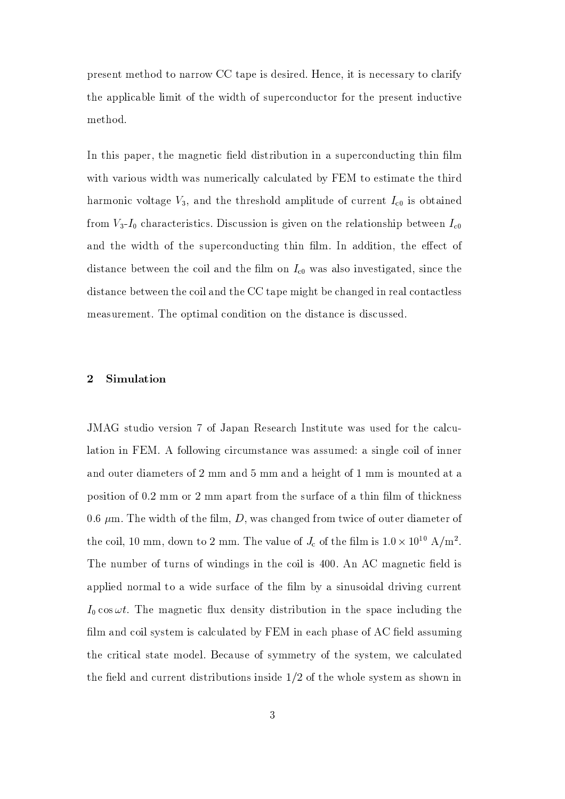present method to narrow CC tape is desired. Hence, it is necessary to clarify the applicable limit of the width of superconductor for the present inductive method.

In this paper, the magnetic field distribution in a superconducting thin film with various width was numerically calculated by FEM to estimate the third harmonic voltage  $V_3$ , and the threshold amplitude of current  $I_{c0}$  is obtained from  $V_3$ - $I_0$  characteristics. Discussion is given on the relationship between  $I_{c0}$ and the width of the superconducting thin film. In addition, the effect of distance between the coil and the film on  $I_{c0}$  was also investigated, since the distance between the coil and the CC tape might be changed in real contactless measurement. The optimal condition on the distance is discussed.

#### $\overline{2}$ Simulation

JMAG studio version 7 of Japan Research Institute was used for the calculation in FEM. A following circumstance was assumed: a single coil of inner and outer diameters of 2 mm and 5 mm and a height of 1 mm is mounted at a position of 0.2 mm or 2 mm apart from the surface of a thin film of thickness 0.6  ${\rm \mu m}$  . The width of the film,  $D,$  was changed from twice of outer diameter of the coil, 10 mm, down to 2 mm. The value of  $J_c$  of the film is  $1.0 \times 10^{10}$  A/m<sup>2</sup>. The number of turns of windings in the coil is 400. An AC magnetic field is applied normal to a wide surface of the film by a sinusoidal driving current  $I_0 \cos \omega t$ . The magnetic flux density distribution in the space including the film and coil system is calculated by FEM in each phase of AC field assuming the critical state model. Because of symmetry of the system, we calculated the field and current distributions inside  $1/2$  of the whole system as shown in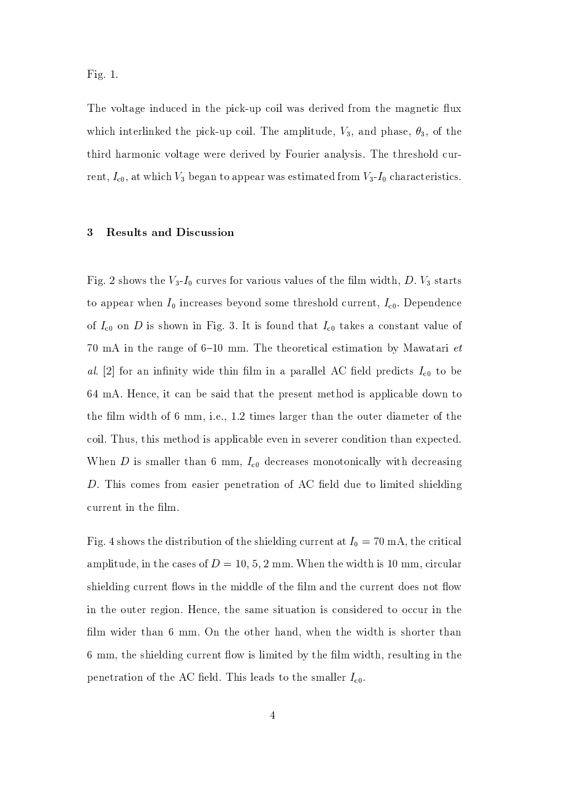Fig.  $1$ .

The voltage induced in the pick-up coil was derived from the magnetic flux which interlinked the pick-up coil. The amplitude,  $V_3$ , and phase,  $\theta_3$ , of the third harmonic voltage were derived by Fourier analysis. The threshold current,  $I_{c0}$ , at which  $V_3$  began to appear was estimated from  $V_3$ - $I_0$  characteristics.

#### **Results and Discussion** 3

Fig. 2 shows the  $V_3$ - $I_0$  curves for various values of the film width, D.  $V_3$  starts to appear when  $I_0$  increases beyond some threshold current,  $I_{c0}$ . Dependence of  $I_{c0}$  on D is shown in Fig. 3. It is found that  $I_{c0}$  takes a constant value of 70 mA in the range of 6-10 mm. The theoretical estimation by Mawatari  $et$ al. [2] for an infinity wide thin film in a parallel AC field predicts  $I_{c0}$  to be 64 mA. Hence, it can be said that the present method is applicable down to the film width of 6 mm, i.e., 1.2 times larger than the outer diameter of the coil. Thus, this method is applicable even in severer condition than expected. When D is smaller than 6 mm,  $I_{c0}$  decreases monotonically with decreasing D. This comes from easier penetration of AC field due to limited shielding current in the film.

Fig. 4 shows the distribution of the shielding current at  $I_0 = 70 \text{ mA}$ , the critical amplitude, in the cases of  $D = 10, 5, 2 \text{ mm}$ . When the width is 10 mm, circular shielding current flows in the middle of the film and the current does not flow in the outer region. Hence, the same situation is considered to occur in the film wider than 6 mm. On the other hand, when the width is shorter than 6 mm, the shielding current flow is limited by the film width, resulting in the penetration of the AC field. This leads to the smaller  $I_{c0}$ .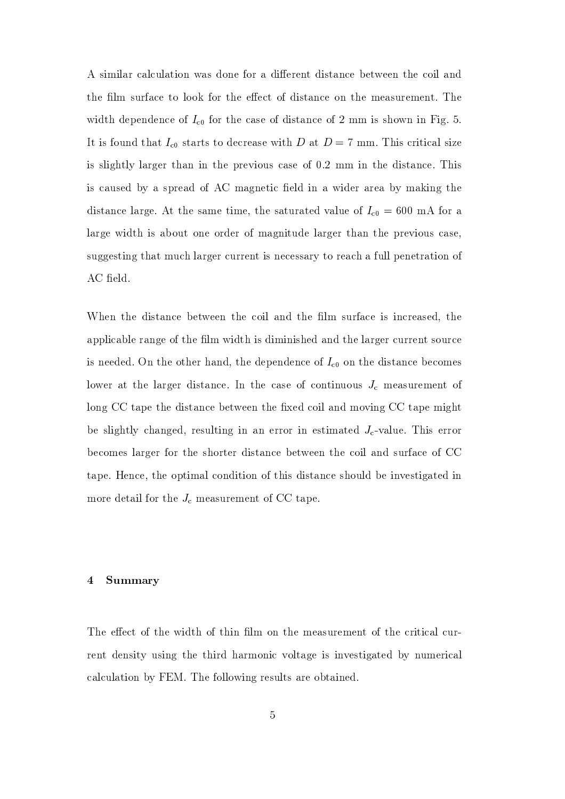A similar calculation was done for a different distance between the coil and the film surface to look for the effect of distance on the measurement. The width dependence of  $I_{c0}$  for the case of distance of 2 mm is shown in Fig. 5. It is found that  $I_{c0}$  starts to decrease with D at  $D = 7$  mm. This critical size is slightly larger than in the previous case of 0.2 mm in the distance. This is caused by a spread of AC magnetic field in a wider area by making the distance large. At the same time, the saturated value of  $I_{c0} = 600$  mA for a large width is about one order of magnitude larger than the previous case, suggesting that much larger current is necessary to reach a full penetration of AC field.

When the distance between the coil and the film surface is increased, the applicable range of the film width is diminished and the larger current source is needed. On the other hand, the dependence of  $I_{c0}$  on the distance becomes lower at the larger distance. In the case of continuous  $J_c$  measurement of long CC tape the distance between the fixed coil and moving CC tape might be slightly changed, resulting in an error in estimated  $J_c$ -value. This error becomes larger for the shorter distance between the coil and surface of CC tape. Hence, the optimal condition of this distance should be investigated in more detail for the  $J_c$  measurement of CC tape.

#### Summary  $\overline{4}$

The effect of the width of thin film on the measurement of the critical current density using the third harmonic voltage is investigated by numerical calculation by FEM. The following results are obtained.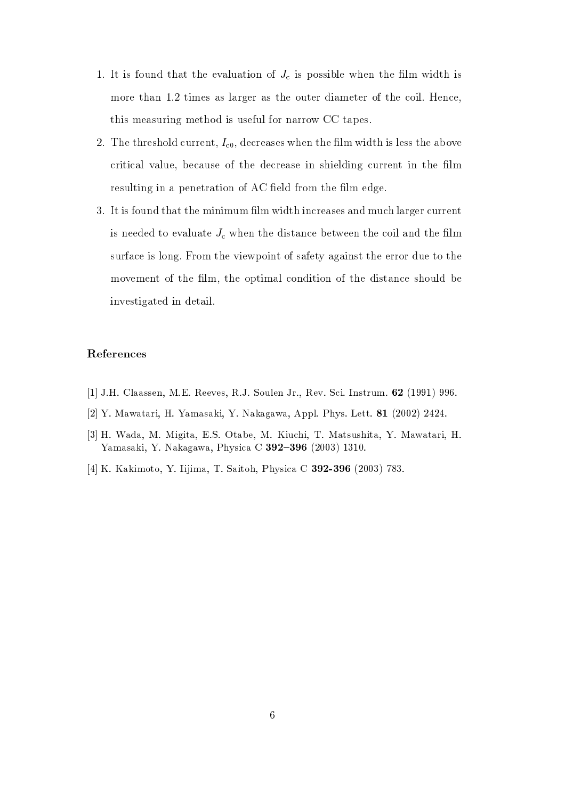- 1. It is found that the evaluation of  $J_c$  is possible when the film width is more than 1.2 times as larger as the outer diameter of the coil. Hence, this measuring method is useful for narrow CC tapes.
- 2. The threshold current,  $I_{c0}$ , decreases when the film width is less the above critical value, because of the decrease in shielding current in the film resulting in a penetration of AC field from the film edge.
- 3. It is found that the minimum film width increases and much larger current is needed to evaluate  $J_c$  when the distance between the coil and the film surface is long. From the viewpoint of safety against the error due to the movement of the film, the optimal condition of the distance should be investigated in detail.

### References

- [1] J.H. Claassen, M.E. Reeves, R.J. Soulen Jr., Rev. Sci. Instrum. 62 (1991) 996.
- [2] Y. Mawatari, H. Yamasaki, Y. Nakagawa, Appl. Phys. Lett. 81 (2002) 2424.
- [3] H. Wada, M. Migita, E.S. Otabe, M. Kiuchi, T. Matsushita, Y. Mawatari, H. Yamasaki, Y. Nakagawa, Physica C 392-396 (2003) 1310.
- [4] K. Kakimoto, Y. Iijima, T. Saitoh, Physica C 392-396 (2003) 783.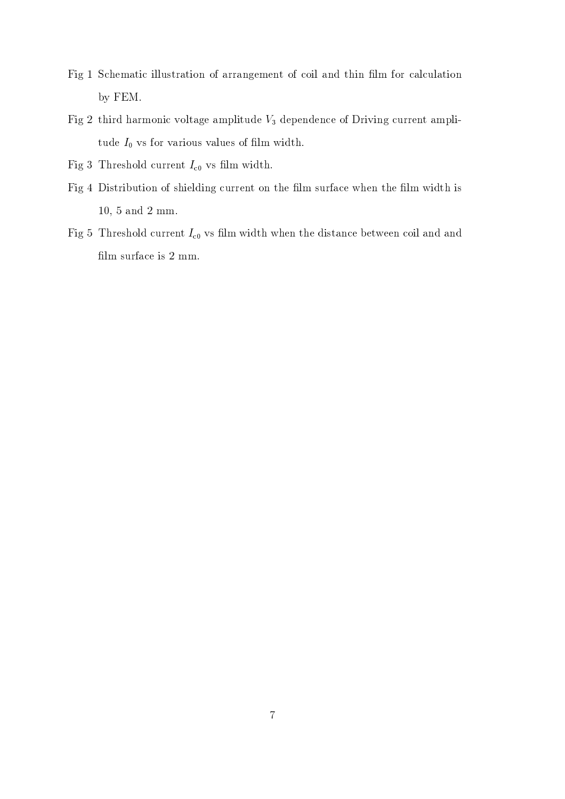- Fig 1 Schematic illustration of arrangement of coil and thin film for calculation by FEM.
- Fig 2 third harmonic voltage amplitude  $V_3$  dependence of Driving current amplitude  $I_0$  vs for various values of film width.
- Fig 3 Threshold current  $I_{c0}$  vs film width.
- Fig 4 Distribution of shielding current on the film surface when the film width is  $10, 5$  and  $2$  mm.
- Fig 5 Threshold current  $I_{c0}$  vs film width when the distance between coil and and film surface is  $2 \text{ mm}$ .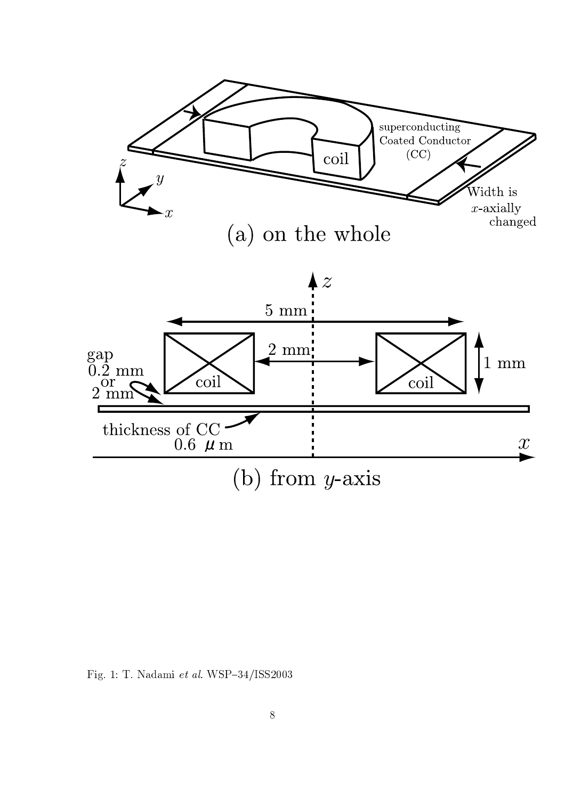

Fig. 1: T. Nadami et al. WSP-34/ISS2003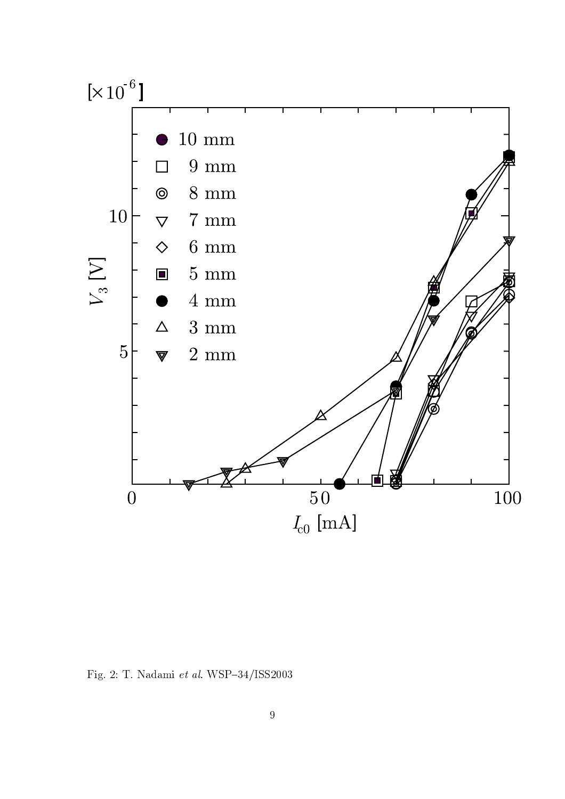

Fig. 2: T. Nadami $et~al.$  WSP-34/ISS2003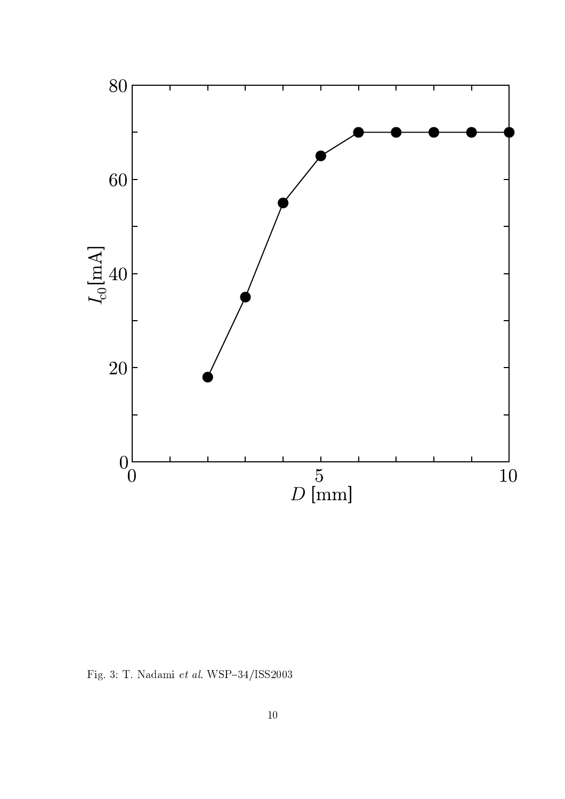

Fig. 3: T. Nadami $\it{et~al.}$  WSP–34/ISS2003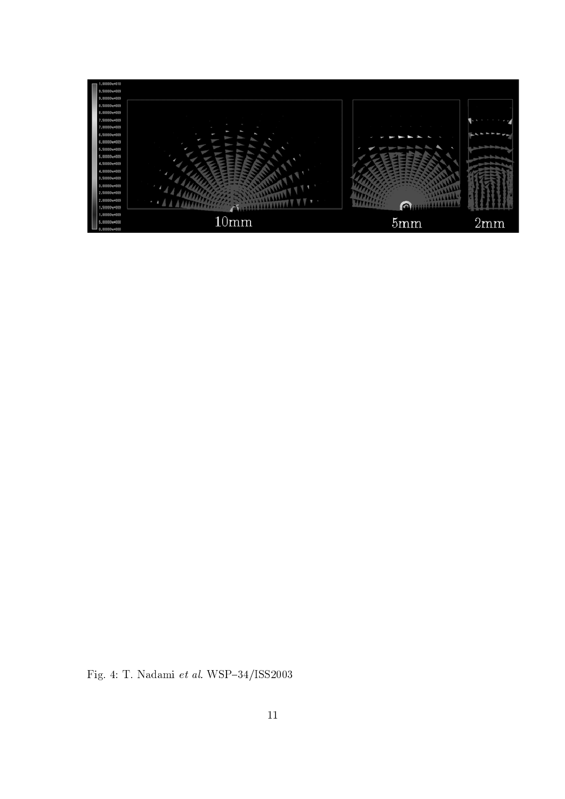

Fig. 4: T. Nadami $\it{et~al.}$  WSP–34/ISS2003